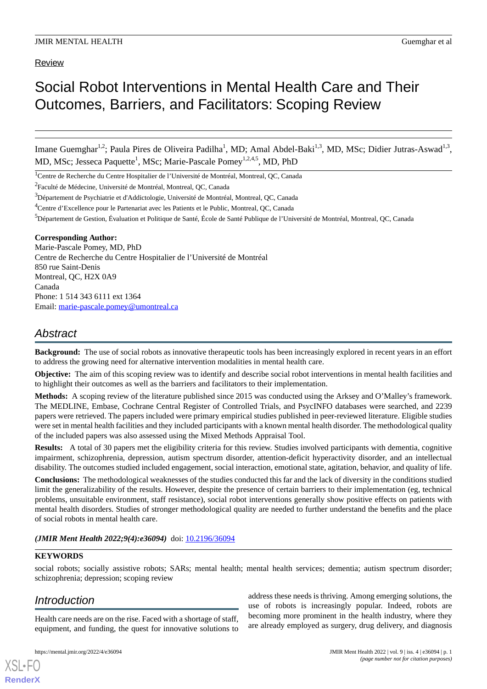# Review

# Social Robot Interventions in Mental Health Care and Their Outcomes, Barriers, and Facilitators: Scoping Review

Imane Guemghar<sup>1,2</sup>; Paula Pires de Oliveira Padilha<sup>1</sup>, MD; Amal Abdel-Baki<sup>1,3</sup>, MD, MSc; Didier Jutras-Aswad<sup>1,3</sup>, MD, MSc; Jesseca Paquette<sup>1</sup>, MSc; Marie-Pascale Pomey<sup>1,2,4,5</sup>, MD, PhD

<sup>1</sup>Centre de Recherche du Centre Hospitalier de l'Université de Montréal, Montreal, QC, Canada

<sup>2</sup>Faculté de Médecine, Université de Montréal, Montreal, QC, Canada

<sup>3</sup>Département de Psychiatrie et d'Addictologie, Université de Montréal, Montreal, QC, Canada

<sup>5</sup>Département de Gestion, Évaluation et Politique de Santé, École de Santé Publique de l'Université de Montréal, Montreal, QC, Canada

## **Corresponding Author:**

Marie-Pascale Pomey, MD, PhD Centre de Recherche du Centre Hospitalier de l'Université de Montréal 850 rue Saint-Denis Montreal, QC, H2X 0A9 Canada Phone: 1 514 343 6111 ext 1364 Email: [marie-pascale.pomey@umontreal.ca](mailto:marie-pascale.pomey@umontreal.ca)

# *Abstract*

**Background:** The use of social robots as innovative therapeutic tools has been increasingly explored in recent years in an effort to address the growing need for alternative intervention modalities in mental health care.

**Objective:** The aim of this scoping review was to identify and describe social robot interventions in mental health facilities and to highlight their outcomes as well as the barriers and facilitators to their implementation.

**Methods:** A scoping review of the literature published since 2015 was conducted using the Arksey and O'Malley's framework. The MEDLINE, Embase, Cochrane Central Register of Controlled Trials, and PsycINFO databases were searched, and 2239 papers were retrieved. The papers included were primary empirical studies published in peer-reviewed literature. Eligible studies were set in mental health facilities and they included participants with a known mental health disorder. The methodological quality of the included papers was also assessed using the Mixed Methods Appraisal Tool.

**Results:** A total of 30 papers met the eligibility criteria for this review. Studies involved participants with dementia, cognitive impairment, schizophrenia, depression, autism spectrum disorder, attention-deficit hyperactivity disorder, and an intellectual disability. The outcomes studied included engagement, social interaction, emotional state, agitation, behavior, and quality of life.

**Conclusions:** The methodological weaknesses of the studies conducted this far and the lack of diversity in the conditions studied limit the generalizability of the results. However, despite the presence of certain barriers to their implementation (eg, technical problems, unsuitable environment, staff resistance), social robot interventions generally show positive effects on patients with mental health disorders. Studies of stronger methodological quality are needed to further understand the benefits and the place of social robots in mental health care.

*(JMIR Ment Health 2022;9(4):e36094)* doi: [10.2196/36094](http://dx.doi.org/10.2196/36094)

## **KEYWORDS**

social robots; socially assistive robots; SARs; mental health; mental health services; dementia; autism spectrum disorder; schizophrenia; depression; scoping review

# *Introduction*

[XSL](http://www.w3.org/Style/XSL)•FO **[RenderX](http://www.renderx.com/)**

Health care needs are on the rise. Faced with a shortage of staff, equipment, and funding, the quest for innovative solutions to

address these needs is thriving. Among emerging solutions, the use of robots is increasingly popular. Indeed, robots are becoming more prominent in the health industry, where they are already employed as surgery, drug delivery, and diagnosis

<sup>&</sup>lt;sup>4</sup>Centre d'Excellence pour le Partenariat avec les Patients et le Public, Montreal, QC, Canada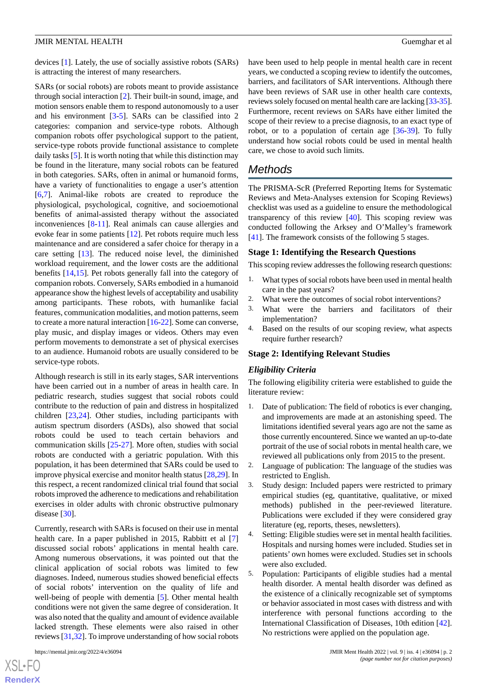devices [\[1](#page-8-0)]. Lately, the use of socially assistive robots (SARs) is attracting the interest of many researchers.

SARs (or social robots) are robots meant to provide assistance through social interaction [\[2](#page-8-1)]. Their built-in sound, image, and motion sensors enable them to respond autonomously to a user and his environment [\[3](#page-8-2)-[5\]](#page-8-3). SARs can be classified into 2 categories: companion and service-type robots. Although companion robots offer psychological support to the patient, service-type robots provide functional assistance to complete daily tasks [[5\]](#page-8-3). It is worth noting that while this distinction may be found in the literature, many social robots can be featured in both categories. SARs, often in animal or humanoid forms, have a variety of functionalities to engage a user's attention [[6](#page-8-4)[,7](#page-9-0)]. Animal-like robots are created to reproduce the physiological, psychological, cognitive, and socioemotional benefits of animal-assisted therapy without the associated inconveniences [[8-](#page-9-1)[11](#page-9-2)]. Real animals can cause allergies and evoke fear in some patients [[12\]](#page-9-3). Pet robots require much less maintenance and are considered a safer choice for therapy in a care setting [\[13](#page-9-4)]. The reduced noise level, the diminished workload requirement, and the lower costs are the additional benefits [\[14](#page-9-5),[15\]](#page-9-6). Pet robots generally fall into the category of companion robots. Conversely, SARs embodied in a humanoid appearance show the highest levels of acceptability and usability among participants. These robots, with humanlike facial features, communication modalities, and motion patterns, seem to create a more natural interaction [\[16](#page-9-7)-[22](#page-9-8)]. Some can converse, play music, and display images or videos. Others may even perform movements to demonstrate a set of physical exercises to an audience. Humanoid robots are usually considered to be service-type robots.

Although research is still in its early stages, SAR interventions have been carried out in a number of areas in health care. In pediatric research, studies suggest that social robots could contribute to the reduction of pain and distress in hospitalized children [[23,](#page-9-9)[24](#page-9-10)]. Other studies, including participants with autism spectrum disorders (ASDs), also showed that social robots could be used to teach certain behaviors and communication skills [[25-](#page-9-11)[27](#page-9-12)]. More often, studies with social robots are conducted with a geriatric population. With this population, it has been determined that SARs could be used to improve physical exercise and monitor health status [[28](#page-10-0)[,29](#page-10-1)]. In this respect, a recent randomized clinical trial found that social robots improved the adherence to medications and rehabilitation exercises in older adults with chronic obstructive pulmonary disease [\[30](#page-10-2)].

Currently, research with SARs is focused on their use in mental health care. In a paper published in 2015, Rabbitt et al [\[7](#page-9-0)] discussed social robots' applications in mental health care. Among numerous observations, it was pointed out that the clinical application of social robots was limited to few diagnoses. Indeed, numerous studies showed beneficial effects of social robots' intervention on the quality of life and well-being of people with dementia [[5\]](#page-8-3). Other mental health conditions were not given the same degree of consideration. It was also noted that the quality and amount of evidence available lacked strength. These elements were also raised in other reviews [\[31](#page-10-3)[,32](#page-10-4)]. To improve understanding of how social robots

[XSL](http://www.w3.org/Style/XSL)•FO **[RenderX](http://www.renderx.com/)** have been used to help people in mental health care in recent years, we conducted a scoping review to identify the outcomes, barriers, and facilitators of SAR interventions. Although there have been reviews of SAR use in other health care contexts, reviews solely focused on mental health care are lacking [\[33](#page-10-5)[-35](#page-10-6)]. Furthermore, recent reviews on SARs have either limited the scope of their review to a precise diagnosis, to an exact type of robot, or to a population of certain age [\[36](#page-10-7)-[39\]](#page-10-8). To fully understand how social robots could be used in mental health care, we chose to avoid such limits.

# *Methods*

The PRISMA-ScR (Preferred Reporting Items for Systematic Reviews and Meta-Analyses extension for Scoping Reviews) checklist was used as a guideline to ensure the methodological transparency of this review [[40\]](#page-10-9). This scoping review was conducted following the Arksey and O'Malley's framework [[41\]](#page-10-10). The framework consists of the following 5 stages.

#### **Stage 1: Identifying the Research Questions**

This scoping review addresses the following research questions:

- 1. What types of social robots have been used in mental health care in the past years?
- 2. What were the outcomes of social robot interventions?
- 3. What were the barriers and facilitators of their implementation?
- 4. Based on the results of our scoping review, what aspects require further research?

#### **Stage 2: Identifying Relevant Studies**

#### *Eligibility Criteria*

The following eligibility criteria were established to guide the literature review:

- 1. Date of publication: The field of robotics is ever changing, and improvements are made at an astonishing speed. The limitations identified several years ago are not the same as those currently encountered. Since we wanted an up-to-date portrait of the use of social robots in mental health care, we reviewed all publications only from 2015 to the present.
- 2. Language of publication: The language of the studies was restricted to English.
- 3. Study design: Included papers were restricted to primary empirical studies (eg, quantitative, qualitative, or mixed methods) published in the peer-reviewed literature. Publications were excluded if they were considered gray literature (eg, reports, theses, newsletters).
- 4. Setting: Eligible studies were set in mental health facilities. Hospitals and nursing homes were included. Studies set in patients' own homes were excluded. Studies set in schools were also excluded.
- 5. Population: Participants of eligible studies had a mental health disorder. A mental health disorder was defined as the existence of a clinically recognizable set of symptoms or behavior associated in most cases with distress and with interference with personal functions according to the International Classification of Diseases, 10th edition [[42\]](#page-10-11). No restrictions were applied on the population age.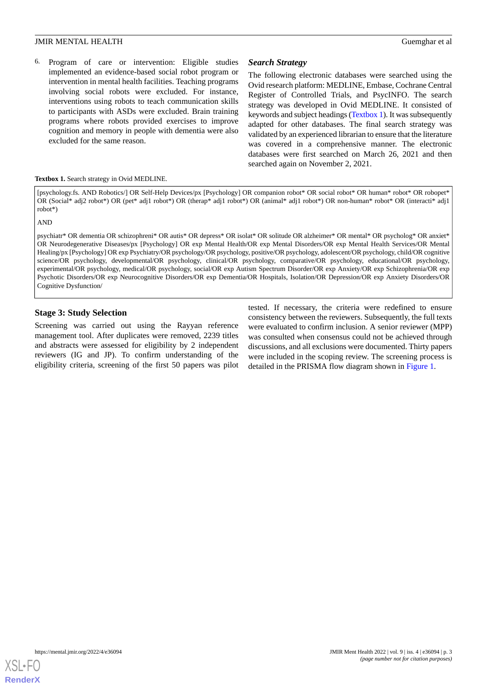6. Program of care or intervention: Eligible studies implemented an evidence-based social robot program or intervention in mental health facilities. Teaching programs involving social robots were excluded. For instance, interventions using robots to teach communication skills to participants with ASDs were excluded. Brain training programs where robots provided exercises to improve cognition and memory in people with dementia were also excluded for the same reason.

# *Search Strategy*

The following electronic databases were searched using the Ovid research platform: MEDLINE, Embase, Cochrane Central Register of Controlled Trials, and PsycINFO. The search strategy was developed in Ovid MEDLINE. It consisted of keywords and subject headings ([Textbox 1\)](#page-2-0). It was subsequently adapted for other databases. The final search strategy was validated by an experienced librarian to ensure that the literature was covered in a comprehensive manner. The electronic databases were first searched on March 26, 2021 and then searched again on November 2, 2021.

#### <span id="page-2-0"></span>**Textbox 1.** Search strategy in Ovid MEDLINE.

[psychology.fs. AND Robotics/] OR Self-Help Devices/px [Psychology] OR companion robot\* OR social robot\* OR human\* robot\* OR robopet\* OR (Social\* adj2 robot\*) OR (pet\* adj1 robot\*) OR (therap\* adj1 robot\*) OR (animal\* adj1 robot\*) OR non-human\* robot\* OR (interacti\* adj1 robot\*)

AND

psychiatr\* OR dementia OR schizophreni\* OR autis\* OR depress\* OR isolat\* OR solitude OR alzheimer\* OR mental\* OR psycholog\* OR anxiet\* OR Neurodegenerative Diseases/px [Psychology] OR exp Mental Health/OR exp Mental Disorders/OR exp Mental Health Services/OR Mental Healing/px [Psychology] OR exp Psychiatry/OR psychology/OR psychology, positive/OR psychology, adolescent/OR psychology, child/OR cognitive science/OR psychology, developmental/OR psychology, clinical/OR psychology, comparative/OR psychology, educational/OR psychology, experimental/OR psychology, medical/OR psychology, social/OR exp Autism Spectrum Disorder/OR exp Anxiety/OR exp Schizophrenia/OR exp Psychotic Disorders/OR exp Neurocognitive Disorders/OR exp Dementia/OR Hospitals, Isolation/OR Depression/OR exp Anxiety Disorders/OR Cognitive Dysfunction/

## **Stage 3: Study Selection**

Screening was carried out using the Rayyan reference management tool. After duplicates were removed, 2239 titles and abstracts were assessed for eligibility by 2 independent reviewers (IG and JP). To confirm understanding of the eligibility criteria, screening of the first 50 papers was pilot tested. If necessary, the criteria were redefined to ensure consistency between the reviewers. Subsequently, the full texts were evaluated to confirm inclusion. A senior reviewer (MPP) was consulted when consensus could not be achieved through discussions, and all exclusions were documented. Thirty papers were included in the scoping review. The screening process is detailed in the PRISMA flow diagram shown in [Figure 1.](#page-3-0)

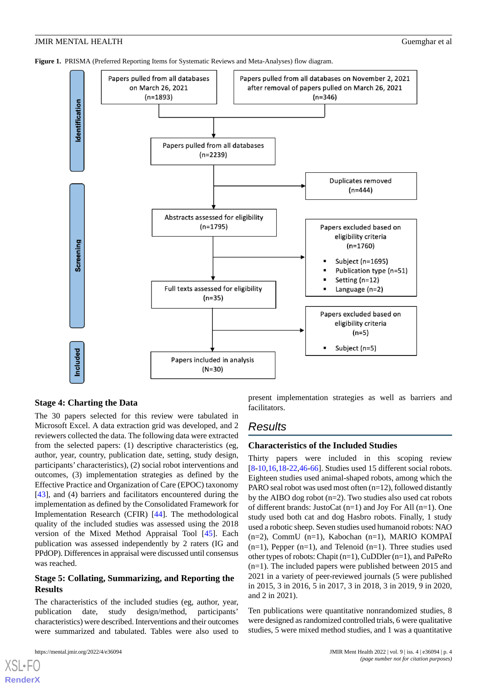<span id="page-3-0"></span>



## **Stage 4: Charting the Data**

The 30 papers selected for this review were tabulated in Microsoft Excel. A data extraction grid was developed, and 2 reviewers collected the data. The following data were extracted from the selected papers: (1) descriptive characteristics (eg, author, year, country, publication date, setting, study design, participants' characteristics), (2) social robot interventions and outcomes, (3) implementation strategies as defined by the Effective Practice and Organization of Care (EPOC) taxonomy [[43\]](#page-10-12), and (4) barriers and facilitators encountered during the implementation as defined by the Consolidated Framework for Implementation Research (CFIR) [[44\]](#page-10-13). The methodological quality of the included studies was assessed using the 2018 version of the Mixed Method Appraisal Tool [\[45](#page-10-14)]. Each publication was assessed independently by 2 raters (IG and PPdOP). Differences in appraisal were discussed until consensus was reached.

# **Stage 5: Collating, Summarizing, and Reporting the Results**

The characteristics of the included studies (eg, author, year, publication date, study design/method, participants' characteristics) were described. Interventions and their outcomes were summarized and tabulated. Tables were also used to

[XSL](http://www.w3.org/Style/XSL)•FO **[RenderX](http://www.renderx.com/)**

present implementation strategies as well as barriers and facilitators.

# *Results*

## **Characteristics of the Included Studies**

Thirty papers were included in this scoping review [[8](#page-9-1)[-10](#page-9-13),[16](#page-9-7)[,18](#page-9-14)-[22,](#page-9-8)[46](#page-10-15)-[66\]](#page-11-0). Studies used 15 different social robots. Eighteen studies used animal-shaped robots, among which the PARO seal robot was used most often (n=12), followed distantly by the AIBO dog robot  $(n=2)$ . Two studies also used cat robots of different brands: JustoCat (n=1) and Joy For All (n=1). One study used both cat and dog Hasbro robots. Finally, 1 study used a robotic sheep. Seven studies used humanoid robots: NAO (n=2), CommU (n=1), Kabochan (n=1), MARIO KOMPAÏ  $(n=1)$ , Pepper  $(n=1)$ , and Telenoid  $(n=1)$ . Three studies used other types of robots: Chapit (n=1), CuDDler (n=1), and PaPeRo (n=1). The included papers were published between 2015 and 2021 in a variety of peer-reviewed journals (5 were published in 2015, 3 in 2016, 5 in 2017, 3 in 2018, 3 in 2019, 9 in 2020, and 2 in 2021).

Ten publications were quantitative nonrandomized studies, 8 were designed as randomized controlled trials, 6 were qualitative studies, 5 were mixed method studies, and 1 was a quantitative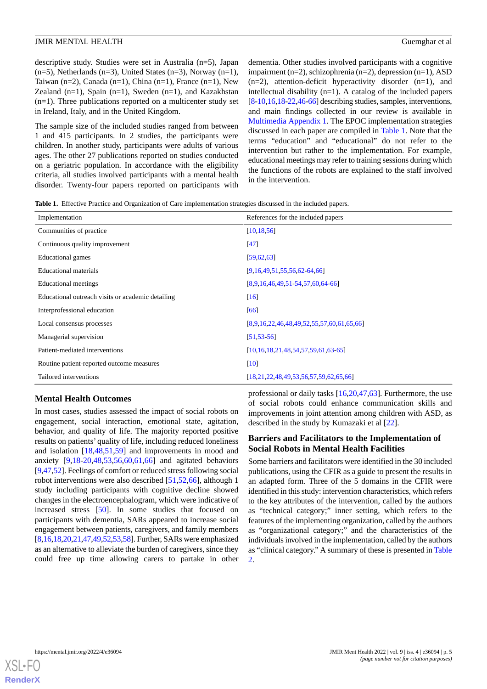descriptive study. Studies were set in Australia (n=5), Japan  $(n=5)$ , Netherlands  $(n=3)$ , United States  $(n=3)$ , Norway  $(n=1)$ , Taiwan (n=2), Canada (n=1), China (n=1), France (n=1), New Zealand  $(n=1)$ , Spain  $(n=1)$ , Sweden  $(n=1)$ , and Kazakhstan (n=1). Three publications reported on a multicenter study set in Ireland, Italy, and in the United Kingdom.

The sample size of the included studies ranged from between 1 and 415 participants. In 2 studies, the participants were children. In another study, participants were adults of various ages. The other 27 publications reported on studies conducted on a geriatric population. In accordance with the eligibility criteria, all studies involved participants with a mental health disorder. Twenty-four papers reported on participants with

dementia. Other studies involved participants with a cognitive impairment (n=2), schizophrenia (n=2), depression (n=1), ASD  $(n=2)$ , attention-deficit hyperactivity disorder  $(n=1)$ , and intellectual disability (n=1). A catalog of the included papers [[8-](#page-9-1)[10,](#page-9-13)[16,](#page-9-7)[18-](#page-9-14)[22,](#page-9-8)[46-](#page-10-15)[66\]](#page-11-0) describing studies, samples, interventions, and main findings collected in our review is available in [Multimedia Appendix 1](#page-8-5). The EPOC implementation strategies discussed in each paper are compiled in [Table 1.](#page-4-0) Note that the terms "education" and "educational" do not refer to the intervention but rather to the implementation. For example, educational meetings may refer to training sessions during which the functions of the robots are explained to the staff involved in the intervention.

<span id="page-4-0"></span>**Table 1.** Effective Practice and Organization of Care implementation strategies discussed in the included papers.

| Implementation                                    | References for the included papers          |
|---------------------------------------------------|---------------------------------------------|
| Communities of practice                           | [10, 18, 56]                                |
| Continuous quality improvement                    | [47]                                        |
| Educational games                                 | [59, 62, 63]                                |
| Educational materials                             | $[9,16,49,51,55,56,62-64,66]$               |
| Educational meetings                              | [8,9,16,46,49,51,54,57,60,64,66]            |
| Educational outreach visits or academic detailing | [16]                                        |
| Interprofessional education                       | [66]                                        |
| Local consensus processes                         | $[8,9,16,22,46,48,49,52,55,57,60,61,65,66]$ |
| Managerial supervision                            | [51, 53, 56]                                |
| Patient-mediated interventions                    | [10,16,18,21,48,54,57,59,61,63.65]          |
| Routine patient-reported outcome measures         | $\lceil 10 \rceil$                          |
| Tailored interventions                            | [18,21,22,48,49,53,56,57,59,62,65,66]       |

## **Mental Health Outcomes**

In most cases, studies assessed the impact of social robots on engagement, social interaction, emotional state, agitation, behavior, and quality of life. The majority reported positive results on patients' quality of life, including reduced loneliness and isolation [\[18](#page-9-14),[48,](#page-10-17)[51](#page-11-6),[59\]](#page-11-2) and improvements in mood and anxiety [[9](#page-9-15)[,18](#page-9-14)-[20,](#page-9-17)[48](#page-10-17),[53,](#page-11-15)[56](#page-11-1),[60,](#page-11-11)[61](#page-11-13),[66\]](#page-11-0) and agitated behaviors [[9,](#page-9-15)[47](#page-10-16),[52](#page-11-12)]. Feelings of comfort or reduced stress following social robot interventions were also described [[51,](#page-11-6)[52](#page-11-12),[66\]](#page-11-0), although 1 study including participants with cognitive decline showed changes in the electroencephalogram, which were indicative of increased stress [[50\]](#page-11-16). In some studies that focused on participants with dementia, SARs appeared to increase social engagement between patients, caregivers, and family members [[8,](#page-9-1)[16](#page-9-7)[,18](#page-9-14)[,20](#page-9-17),[21](#page-9-16),[47](#page-10-16),[49,](#page-11-5)[52,](#page-11-12)[53](#page-11-15)[,58\]](#page-11-17). Further, SARs were emphasized as an alternative to alleviate the burden of caregivers, since they could free up time allowing carers to partake in other professional or daily tasks [\[16](#page-9-7)[,20](#page-9-17)[,47](#page-10-16),[63\]](#page-11-4). Furthermore, the use of social robots could enhance communication skills and improvements in joint attention among children with ASD, as described in the study by Kumazaki et al [\[22](#page-9-8)].

# **Barriers and Facilitators to the Implementation of Social Robots in Mental Health Facilities**

Some barriers and facilitators were identified in the 30 included publications, using the CFIR as a guide to present the results in an adapted form. Three of the 5 domains in the CFIR were identified in this study: intervention characteristics, which refers to the key attributes of the intervention, called by the authors as "technical category;" inner setting, which refers to the features of the implementing organization, called by the authors as "organizational category;" and the characteristics of the individuals involved in the implementation, called by the authors as "clinical category." A summary of these is presented in [Table](#page-5-0) [2.](#page-5-0)

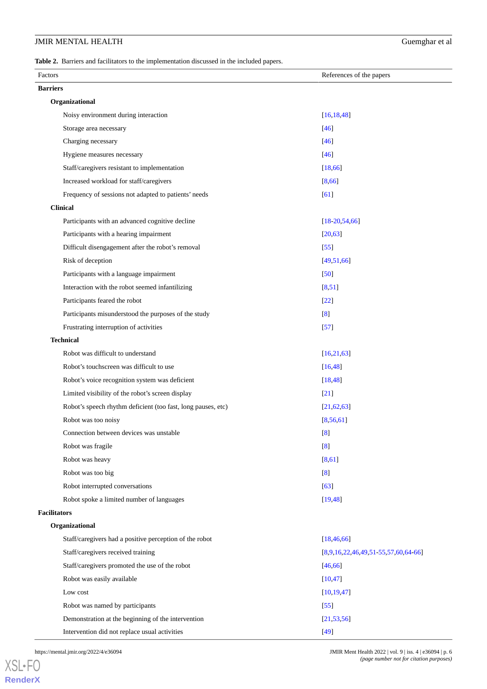<span id="page-5-0"></span>**Table 2.** Barriers and facilitators to the implementation discussed in the included papers.

| Factors             |                                                              | References of the papers            |
|---------------------|--------------------------------------------------------------|-------------------------------------|
| <b>Barriers</b>     |                                                              |                                     |
|                     | Organizational                                               |                                     |
|                     | Noisy environment during interaction                         | [16, 18, 48]                        |
|                     | Storage area necessary                                       | $[46]$                              |
|                     | Charging necessary                                           | $[46]$                              |
|                     | Hygiene measures necessary                                   | $[46]$                              |
|                     | Staff/caregivers resistant to implementation                 | [18, 66]                            |
|                     | Increased workload for staff/caregivers                      | [8,66]                              |
|                     | Frequency of sessions not adapted to patients' needs         | [61]                                |
|                     | <b>Clinical</b>                                              |                                     |
|                     | Participants with an advanced cognitive decline              | $[18-20,54,66]$                     |
|                     | Participants with a hearing impairment                       | [20, 63]                            |
|                     | Difficult disengagement after the robot's removal            | $[55]$                              |
|                     | Risk of deception                                            | [49,51,66]                          |
|                     | Participants with a language impairment                      | [50]                                |
|                     | Interaction with the robot seemed infantilizing              | [8, 51]                             |
|                     | Participants feared the robot                                | $[22]$                              |
|                     | Participants misunderstood the purposes of the study         | $\lbrack 8 \rbrack$                 |
|                     | Frustrating interruption of activities                       | $[57]$                              |
|                     | <b>Technical</b>                                             |                                     |
|                     | Robot was difficult to understand                            | [16, 21, 63]                        |
|                     | Robot's touchscreen was difficult to use                     | [16, 48]                            |
|                     | Robot's voice recognition system was deficient               | [18, 48]                            |
|                     | Limited visibility of the robot's screen display             | $[21]$                              |
|                     | Robot's speech rhythm deficient (too fast, long pauses, etc) | [21, 62, 63]                        |
|                     | Robot was too noisy                                          | [8, 56, 61]                         |
|                     | Connection between devices was unstable                      | [8]                                 |
|                     | Robot was fragile                                            | [8]                                 |
|                     | Robot was heavy                                              | [8,61]                              |
|                     | Robot was too big                                            | [8]                                 |
|                     | Robot interrupted conversations                              | $[63]$                              |
|                     | Robot spoke a limited number of languages                    | [19, 48]                            |
| <b>Facilitators</b> |                                                              |                                     |
|                     | Organizational                                               |                                     |
|                     | Staff/caregivers had a positive perception of the robot      | [18, 46, 66]                        |
|                     | Staff/caregivers received training                           | [8,9,16,22,46,49,51,55,57,60,64,66] |
|                     | Staff/caregivers promoted the use of the robot               | [46, 66]                            |
|                     | Robot was easily available                                   | [10, 47]                            |
|                     | Low cost                                                     | [10, 19, 47]                        |
|                     | Robot was named by participants                              | $[55]$                              |
|                     | Demonstration at the beginning of the intervention           | [21, 53, 56]                        |
|                     | Intervention did not replace usual activities                | $[49]$                              |

[XSL](http://www.w3.org/Style/XSL)•FO **[RenderX](http://www.renderx.com/)**

https://mental.jmir.org/2022/4/e36094 JMIR Ment Health 2022 | vol. 9 | iss. 4 | e36094 | p. 6 *(page number not for citation purposes)*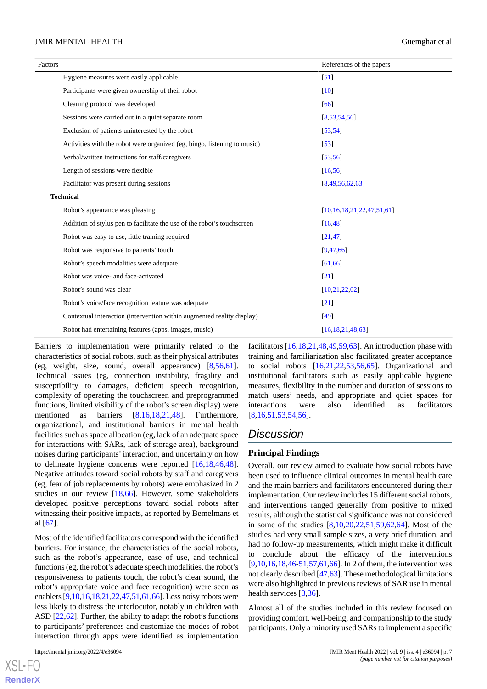| Factors                                                                  | References of the papers         |
|--------------------------------------------------------------------------|----------------------------------|
| Hygiene measures were easily applicable                                  | $\left[51\right]$                |
| Participants were given ownership of their robot                         | [10]                             |
| Cleaning protocol was developed                                          | [66]                             |
| Sessions were carried out in a quiet separate room                       | [8,53,54,56]                     |
| Exclusion of patients uninterested by the robot                          | [53, 54]                         |
| Activities with the robot were organized (eg, bingo, listening to music) | $\left[53\right]$                |
| Verbal/written instructions for staff/caregivers                         | [53, 56]                         |
| Length of sessions were flexible                                         | [16, 56]                         |
| Facilitator was present during sessions                                  | [8,49,56,62,63]                  |
| <b>Technical</b>                                                         |                                  |
| Robot's appearance was pleasing                                          | [10, 16, 18, 21, 22, 47, 51, 61] |
| Addition of stylus pen to facilitate the use of the robot's touchscreen  | [16, 48]                         |
| Robot was easy to use, little training required                          | [21, 47]                         |
| Robot was responsive to patients' touch                                  | [9,47,66]                        |
| Robot's speech modalities were adequate                                  | [61, 66]                         |
| Robot was voice- and face-activated                                      | [21]                             |
| Robot's sound was clear                                                  | [10, 21, 22, 62]                 |
| Robot's voice/face recognition feature was adequate                      | $\left[21\right]$                |
| Contextual interaction (intervention within augmented reality display)   | [49]                             |
| Robot had entertaining features (apps, images, music)                    | [16, 18, 21, 48, 63]             |

Barriers to implementation were primarily related to the characteristics of social robots, such as their physical attributes (eg, weight, size, sound, overall appearance) [[8](#page-9-1)[,56](#page-11-1),[61\]](#page-11-13). Technical issues (eg, connection instability, fragility and susceptibility to damages, deficient speech recognition, complexity of operating the touchscreen and preprogrammed functions, limited visibility of the robot's screen display) were mentioned as barriers [[8](#page-9-1),[16,](#page-9-7)[18,](#page-9-14)[21](#page-9-16)[,48](#page-10-17)]. Furthermore, organizational, and institutional barriers in mental health facilities such as space allocation (eg, lack of an adequate space for interactions with SARs, lack of storage area), background noises during participants' interaction, and uncertainty on how to delineate hygiene concerns were reported [\[16](#page-9-7),[18](#page-9-14)[,46](#page-10-15),[48\]](#page-10-17). Negative attitudes toward social robots by staff and caregivers (eg, fear of job replacements by robots) were emphasized in 2 studies in our review [\[18](#page-9-14),[66\]](#page-11-0). However, some stakeholders developed positive perceptions toward social robots after witnessing their positive impacts, as reported by Bemelmans et al [[67\]](#page-11-18).

Most of the identified facilitators correspond with the identified barriers. For instance, the characteristics of the social robots, such as the robot's appearance, ease of use, and technical functions (eg, the robot's adequate speech modalities, the robot's responsiveness to patients touch, the robot's clear sound, the robot's appropriate voice and face recognition) were seen as enablers [\[9](#page-9-15),[10,](#page-9-13)[16,](#page-9-7)[18](#page-9-14)[,21](#page-9-16),[22](#page-9-8),[47,](#page-10-16)[51](#page-11-6)[,61](#page-11-13),[66](#page-11-0)]. Less noisy robots were less likely to distress the interlocutor, notably in children with ASD [\[22](#page-9-8),[62\]](#page-11-3). Further, the ability to adapt the robot's functions to participants' preferences and customize the modes of robot interaction through apps were identified as implementation

[XSL](http://www.w3.org/Style/XSL)•FO **[RenderX](http://www.renderx.com/)**

facilitators  $[16,18,21,48,49,59,63]$  $[16,18,21,48,49,59,63]$  $[16,18,21,48,49,59,63]$  $[16,18,21,48,49,59,63]$  $[16,18,21,48,49,59,63]$  $[16,18,21,48,49,59,63]$  $[16,18,21,48,49,59,63]$  $[16,18,21,48,49,59,63]$  $[16,18,21,48,49,59,63]$  $[16,18,21,48,49,59,63]$  $[16,18,21,48,49,59,63]$ . An introduction phase with training and familiarization also facilitated greater acceptance to social robots [[16,](#page-9-7)[21](#page-9-16),[22,](#page-9-8)[53](#page-11-15),[56,](#page-11-1)[65](#page-11-14)]. Organizational and institutional facilitators such as easily applicable hygiene measures, flexibility in the number and duration of sessions to match users' needs, and appropriate and quiet spaces for interactions were also identified as facilitators [[8](#page-9-1)[,16](#page-9-7),[51,](#page-11-6)[53,](#page-11-15)[54](#page-11-9)[,56](#page-11-1)].

## *Discussion*

#### **Principal Findings**

Overall, our review aimed to evaluate how social robots have been used to influence clinical outcomes in mental health care and the main barriers and facilitators encountered during their implementation. Our review includes 15 different social robots, and interventions ranged generally from positive to mixed results, although the statistical significance was not considered in some of the studies [\[8](#page-9-1),[10](#page-9-13)[,20](#page-9-17),[22](#page-9-8)[,51](#page-11-6),[59](#page-11-2)[,62](#page-11-3),[64\]](#page-11-8). Most of the studies had very small sample sizes, a very brief duration, and had no follow-up measurements, which might make it difficult to conclude about the efficacy of the interventions [[9](#page-9-15)[,10](#page-9-13),[16,](#page-9-7)[18,](#page-9-14)[46](#page-10-15)[-51](#page-11-6),[57](#page-11-10)[,61](#page-11-13),[66\]](#page-11-0). In 2 of them, the intervention was not clearly described [[47,](#page-10-16)[63](#page-11-4)]. These methodological limitations were also highlighted in previous reviews of SAR use in mental health services [[3,](#page-8-2)[36](#page-10-7)].

Almost all of the studies included in this review focused on providing comfort, well-being, and companionship to the study participants. Only a minority used SARs to implement a specific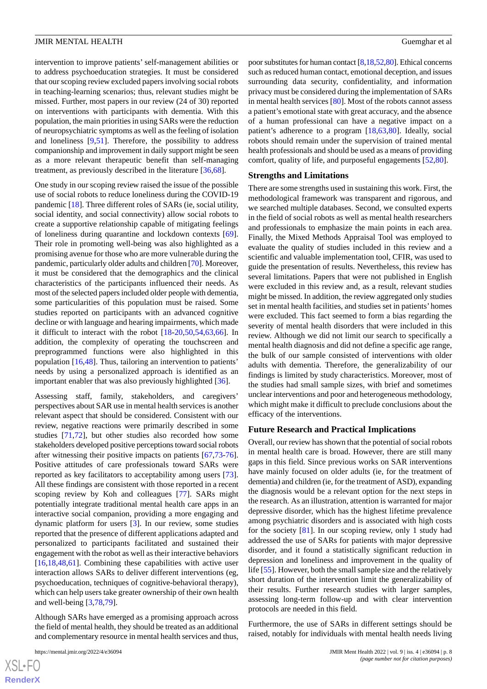intervention to improve patients' self-management abilities or to address psychoeducation strategies. It must be considered that our scoping review excluded papers involving social robots in teaching-learning scenarios; thus, relevant studies might be missed. Further, most papers in our review (24 of 30) reported on interventions with participants with dementia. With this population, the main priorities in using SARs were the reduction of neuropsychiatric symptoms as well as the feeling of isolation and loneliness [\[9](#page-9-15),[51\]](#page-11-6). Therefore, the possibility to address companionship and improvement in daily support might be seen as a more relevant therapeutic benefit than self-managing treatment, as previously described in the literature [\[36](#page-10-7),[68\]](#page-11-19).

One study in our scoping review raised the issue of the possible use of social robots to reduce loneliness during the COVID-19 pandemic [[18\]](#page-9-14). Three different roles of SARs (ie, social utility, social identity, and social connectivity) allow social robots to create a supportive relationship capable of mitigating feelings of loneliness during quarantine and lockdown contexts [[69\]](#page-11-20). Their role in promoting well-being was also highlighted as a promising avenue for those who are more vulnerable during the pandemic, particularly older adults and children [[70](#page-11-21)]. Moreover, it must be considered that the demographics and the clinical characteristics of the participants influenced their needs. As most of the selected papers included older people with dementia, some particularities of this population must be raised. Some studies reported on participants with an advanced cognitive decline or with language and hearing impairments, which made it difficult to interact with the robot [\[18](#page-9-14)-[20,](#page-9-17)[50](#page-11-16)[,54](#page-11-9),[63,](#page-11-4)[66\]](#page-11-0). In addition, the complexity of operating the touchscreen and preprogrammed functions were also highlighted in this population [\[16](#page-9-7),[48\]](#page-10-17). Thus, tailoring an intervention to patients' needs by using a personalized approach is identified as an important enabler that was also previously highlighted [[36\]](#page-10-7).

Assessing staff, family, stakeholders, and caregivers' perspectives about SAR use in mental health services is another relevant aspect that should be considered. Consistent with our review, negative reactions were primarily described in some studies [[71,](#page-11-22)[72](#page-12-0)], but other studies also recorded how some stakeholders developed positive perceptions toward social robots after witnessing their positive impacts on patients [[67](#page-11-18)[,73](#page-12-1)-[76\]](#page-12-2). Positive attitudes of care professionals toward SARs were reported as key facilitators to acceptability among users [[73\]](#page-12-1). All these findings are consistent with those reported in a recent scoping review by Koh and colleagues [[77\]](#page-12-3). SARs might potentially integrate traditional mental health care apps in an interactive social companion, providing a more engaging and dynamic platform for users [\[3](#page-8-2)]. In our review, some studies reported that the presence of different applications adapted and personalized to participants facilitated and sustained their engagement with the robot as well as their interactive behaviors [[16](#page-9-7)[,18](#page-9-14),[48](#page-10-17)[,61](#page-11-13)]. Combining these capabilities with active user interaction allows SARs to deliver different interventions (eg, psychoeducation, techniques of cognitive-behavioral therapy), which can help users take greater ownership of their own health and well-being [\[3](#page-8-2),[78,](#page-12-4)[79](#page-12-5)].

Although SARs have emerged as a promising approach across the field of mental health, they should be treated as an additional and complementary resource in mental health services and thus,

poor substitutes for human contact [\[8](#page-9-1),[18](#page-9-14),[52,](#page-11-12)[80\]](#page-12-6). Ethical concerns such as reduced human contact, emotional deception, and issues surrounding data security, confidentiality, and information privacy must be considered during the implementation of SARs in mental health services [\[80](#page-12-6)]. Most of the robots cannot assess a patient's emotional state with great accuracy, and the absence of a human professional can have a negative impact on a patient's adherence to a program [[18](#page-9-14)[,63](#page-11-4),[80\]](#page-12-6). Ideally, social robots should remain under the supervision of trained mental health professionals and should be used as a means of providing comfort, quality of life, and purposeful engagements [[52](#page-11-12)[,80](#page-12-6)].

#### **Strengths and Limitations**

There are some strengths used in sustaining this work. First, the methodological framework was transparent and rigorous, and we searched multiple databases. Second, we consulted experts in the field of social robots as well as mental health researchers and professionals to emphasize the main points in each area. Finally, the Mixed Methods Appraisal Tool was employed to evaluate the quality of studies included in this review and a scientific and valuable implementation tool, CFIR, was used to guide the presentation of results. Nevertheless, this review has several limitations. Papers that were not published in English were excluded in this review and, as a result, relevant studies might be missed. In addition, the review aggregated only studies set in mental health facilities, and studies set in patients' homes were excluded. This fact seemed to form a bias regarding the severity of mental health disorders that were included in this review. Although we did not limit our search to specifically a mental health diagnosis and did not define a specific age range, the bulk of our sample consisted of interventions with older adults with dementia. Therefore, the generalizability of our findings is limited by study characteristics. Moreover, most of the studies had small sample sizes, with brief and sometimes unclear interventions and poor and heterogeneous methodology, which might make it difficult to preclude conclusions about the efficacy of the interventions.

#### **Future Research and Practical Implications**

Overall, our review has shown that the potential of social robots in mental health care is broad. However, there are still many gaps in this field. Since previous works on SAR interventions have mainly focused on older adults (ie, for the treatment of dementia) and children (ie, for the treatment of ASD), expanding the diagnosis would be a relevant option for the next steps in the research. As an illustration, attention is warranted for major depressive disorder, which has the highest lifetime prevalence among psychiatric disorders and is associated with high costs for the society [\[81](#page-12-7)]. In our scoping review, only 1 study had addressed the use of SARs for patients with major depressive disorder, and it found a statistically significant reduction in depression and loneliness and improvement in the quality of life [\[55](#page-11-7)]. However, both the small sample size and the relatively short duration of the intervention limit the generalizability of their results. Further research studies with larger samples, assessing long-term follow-up and with clear intervention protocols are needed in this field.

Furthermore, the use of SARs in different settings should be raised, notably for individuals with mental health needs living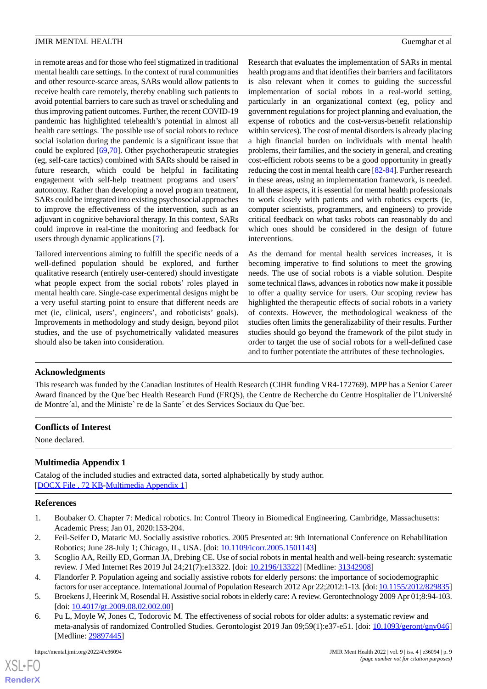in remote areas and for those who feel stigmatized in traditional mental health care settings. In the context of rural communities and other resource-scarce areas, SARs would allow patients to receive health care remotely, thereby enabling such patients to avoid potential barriers to care such as travel or scheduling and thus improving patient outcomes. Further, the recent COVID-19 pandemic has highlighted telehealth's potential in almost all health care settings. The possible use of social robots to reduce social isolation during the pandemic is a significant issue that could be explored [\[69](#page-11-20),[70\]](#page-11-21). Other psychotherapeutic strategies (eg, self-care tactics) combined with SARs should be raised in future research, which could be helpful in facilitating engagement with self-help treatment programs and users' autonomy. Rather than developing a novel program treatment, SARs could be integrated into existing psychosocial approaches to improve the effectiveness of the intervention, such as an adjuvant in cognitive behavioral therapy. In this context, SARs could improve in real-time the monitoring and feedback for users through dynamic applications [\[7](#page-9-0)].

Tailored interventions aiming to fulfill the specific needs of a well-defined population should be explored, and further qualitative research (entirely user-centered) should investigate what people expect from the social robots' roles played in mental health care. Single-case experimental designs might be a very useful starting point to ensure that different needs are met (ie, clinical, users', engineers', and roboticists' goals). Improvements in methodology and study design, beyond pilot studies, and the use of psychometrically validated measures should also be taken into consideration.

Research that evaluates the implementation of SARs in mental health programs and that identifies their barriers and facilitators is also relevant when it comes to guiding the successful implementation of social robots in a real-world setting, particularly in an organizational context (eg, policy and government regulations for project planning and evaluation, the expense of robotics and the cost-versus-benefit relationship within services). The cost of mental disorders is already placing a high financial burden on individuals with mental health problems, their families, and the society in general, and creating cost-efficient robots seems to be a good opportunity in greatly reducing the cost in mental health care [\[82](#page-12-8)[-84](#page-12-9)]. Further research in these areas, using an implementation framework, is needed. In all these aspects, it is essential for mental health professionals to work closely with patients and with robotics experts (ie, computer scientists, programmers, and engineers) to provide critical feedback on what tasks robots can reasonably do and which ones should be considered in the design of future interventions.

As the demand for mental health services increases, it is becoming imperative to find solutions to meet the growing needs. The use of social robots is a viable solution. Despite some technical flaws, advances in robotics now make it possible to offer a quality service for users. Our scoping review has highlighted the therapeutic effects of social robots in a variety of contexts. However, the methodological weakness of the studies often limits the generalizability of their results. Further studies should go beyond the framework of the pilot study in order to target the use of social robots for a well-defined case and to further potentiate the attributes of these technologies.

# **Acknowledgments**

This research was funded by the Canadian Institutes of Health Research (CIHR funding VR4-172769). MPP has a Senior Career Award financed by the Québec Health Research Fund (FRQS), the Centre de Recherche du Centre Hospitalier de l'Université de Montre'al, and the Ministe`re de la Sante' et des Services Sociaux du Que'bec.

## <span id="page-8-5"></span>**Conflicts of Interest**

None declared.

# <span id="page-8-0"></span>**Multimedia Appendix 1**

<span id="page-8-1"></span>Catalog of the included studies and extracted data, sorted alphabetically by study author. [[DOCX File , 72 KB](https://jmir.org/api/download?alt_name=mental_v9i4e36094_app1.docx&filename=794e6fb9140d4a85f15716172d883ec0.docx)-[Multimedia Appendix 1\]](https://jmir.org/api/download?alt_name=mental_v9i4e36094_app1.docx&filename=794e6fb9140d4a85f15716172d883ec0.docx)

# <span id="page-8-2"></span>**References**

- 1. Boubaker O. Chapter 7: Medical robotics. In: Control Theory in Biomedical Engineering. Cambridge, Massachusetts: Academic Press; Jan 01, 2020:153-204.
- <span id="page-8-3"></span>2. Feil-Seifer D, Mataric MJ. Socially assistive robotics. 2005 Presented at: 9th International Conference on Rehabilitation Robotics; June 28-July 1; Chicago, IL, USA. [doi: [10.1109/icorr.2005.1501143\]](http://dx.doi.org/10.1109/icorr.2005.1501143)
- <span id="page-8-4"></span>3. Scoglio AA, Reilly ED, Gorman JA, Drebing CE. Use of social robots in mental health and well-being research: systematic review. J Med Internet Res 2019 Jul 24;21(7):e13322. [doi: [10.2196/13322\]](http://dx.doi.org/10.2196/13322) [Medline: [31342908\]](http://www.ncbi.nlm.nih.gov/entrez/query.fcgi?cmd=Retrieve&db=PubMed&list_uids=31342908&dopt=Abstract)
- 4. Flandorfer P. Population ageing and socially assistive robots for elderly persons: the importance of sociodemographic factors for user acceptance. International Journal of Population Research 2012 Apr 22;2012:1-13. [doi: [10.1155/2012/829835\]](http://dx.doi.org/10.1155/2012/829835)
- 5. Broekens J, Heerink M, Rosendal H. Assistive social robots in elderly care: A review. Gerontechnology 2009 Apr 01;8:94-103. [doi: [10.4017/gt.2009.08.02.002.00](http://dx.doi.org/10.4017/gt.2009.08.02.002.00)]
- 6. Pu L, Moyle W, Jones C, Todorovic M. The effectiveness of social robots for older adults: a systematic review and meta-analysis of randomized Controlled Studies. Gerontologist 2019 Jan 09;59(1):e37-e51. [doi: [10.1093/geront/gny046](http://dx.doi.org/10.1093/geront/gny046)] [Medline: [29897445](http://www.ncbi.nlm.nih.gov/entrez/query.fcgi?cmd=Retrieve&db=PubMed&list_uids=29897445&dopt=Abstract)]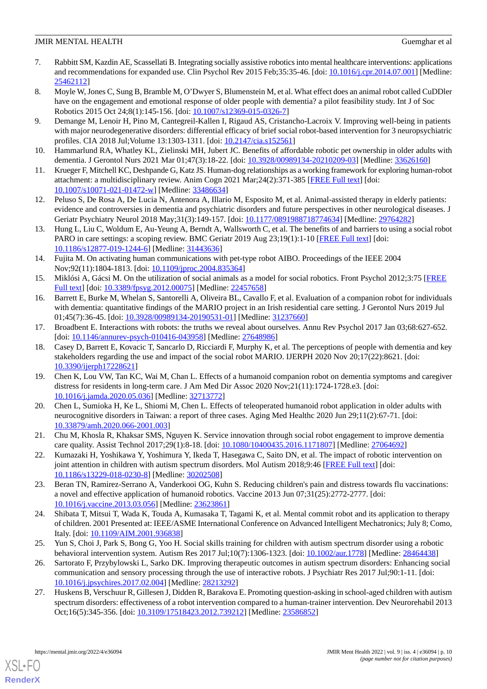- <span id="page-9-0"></span>7. Rabbitt SM, Kazdin AE, Scassellati B. Integrating socially assistive robotics into mental healthcare interventions: applications and recommendations for expanded use. Clin Psychol Rev 2015 Feb;35:35-46. [doi: [10.1016/j.cpr.2014.07.001\]](http://dx.doi.org/10.1016/j.cpr.2014.07.001) [Medline: [25462112](http://www.ncbi.nlm.nih.gov/entrez/query.fcgi?cmd=Retrieve&db=PubMed&list_uids=25462112&dopt=Abstract)]
- <span id="page-9-1"></span>8. Moyle W, Jones C, Sung B, Bramble M, O'Dwyer S, Blumenstein M, et al. What effect does an animal robot called CuDDler have on the engagement and emotional response of older people with dementia? a pilot feasibility study. Int J of Soc Robotics 2015 Oct 24;8(1):145-156. [doi: [10.1007/s12369-015-0326-7](http://dx.doi.org/10.1007/s12369-015-0326-7)]
- <span id="page-9-15"></span>9. Demange M, Lenoir H, Pino M, Cantegreil-Kallen I, Rigaud AS, Cristancho-Lacroix V. Improving well-being in patients with major neurodegenerative disorders: differential efficacy of brief social robot-based intervention for 3 neuropsychiatric profiles. CIA 2018 Jul; Volume 13:1303-1311. [doi:  $10.2147/c$ ia.s152561]
- <span id="page-9-13"></span><span id="page-9-2"></span>10. Hammarlund RA, Whatley KL, Zielinski MH, Jubert JC. Benefits of affordable robotic pet ownership in older adults with dementia. J Gerontol Nurs 2021 Mar 01;47(3):18-22. [doi: [10.3928/00989134-20210209-03](http://dx.doi.org/10.3928/00989134-20210209-03)] [Medline: [33626160\]](http://www.ncbi.nlm.nih.gov/entrez/query.fcgi?cmd=Retrieve&db=PubMed&list_uids=33626160&dopt=Abstract)
- <span id="page-9-3"></span>11. Krueger F, Mitchell KC, Deshpande G, Katz JS. Human-dog relationships as a working framework for exploring human-robot attachment: a multidisciplinary review. Anim Cogn 2021 Mar;24(2):371-385 [[FREE Full text\]](http://europepmc.org/abstract/MED/33486634) [doi: [10.1007/s10071-021-01472-w\]](http://dx.doi.org/10.1007/s10071-021-01472-w) [Medline: [33486634\]](http://www.ncbi.nlm.nih.gov/entrez/query.fcgi?cmd=Retrieve&db=PubMed&list_uids=33486634&dopt=Abstract)
- <span id="page-9-4"></span>12. Peluso S, De Rosa A, De Lucia N, Antenora A, Illario M, Esposito M, et al. Animal-assisted therapy in elderly patients: evidence and controversies in dementia and psychiatric disorders and future perspectives in other neurological diseases. J Geriatr Psychiatry Neurol 2018 May;31(3):149-157. [doi: [10.1177/0891988718774634](http://dx.doi.org/10.1177/0891988718774634)] [Medline: [29764282](http://www.ncbi.nlm.nih.gov/entrez/query.fcgi?cmd=Retrieve&db=PubMed&list_uids=29764282&dopt=Abstract)]
- <span id="page-9-5"></span>13. Hung L, Liu C, Woldum E, Au-Yeung A, Berndt A, Wallsworth C, et al. The benefits of and barriers to using a social robot PARO in care settings: a scoping review. BMC Geriatr 2019 Aug 23;19(1):1-10 [\[FREE Full text\]](https://bmcgeriatr.biomedcentral.com/articles/10.1186/s12877-019-1244-6) [doi: [10.1186/s12877-019-1244-6\]](http://dx.doi.org/10.1186/s12877-019-1244-6) [Medline: [31443636](http://www.ncbi.nlm.nih.gov/entrez/query.fcgi?cmd=Retrieve&db=PubMed&list_uids=31443636&dopt=Abstract)]
- <span id="page-9-6"></span>14. Fujita M. On activating human communications with pet-type robot AIBO. Proceedings of the IEEE 2004 Nov;92(11):1804-1813. [doi: [10.1109/jproc.2004.835364](http://dx.doi.org/10.1109/jproc.2004.835364)]
- <span id="page-9-7"></span>15. Miklósi A, Gácsi M. On the utilization of social animals as a model for social robotics. Front Psychol 2012;3:75 [[FREE](https://doi.org/10.3389/fpsyg.2012.00075) [Full text\]](https://doi.org/10.3389/fpsyg.2012.00075) [doi: [10.3389/fpsyg.2012.00075\]](http://dx.doi.org/10.3389/fpsyg.2012.00075) [Medline: [22457658](http://www.ncbi.nlm.nih.gov/entrez/query.fcgi?cmd=Retrieve&db=PubMed&list_uids=22457658&dopt=Abstract)]
- 16. Barrett E, Burke M, Whelan S, Santorelli A, Oliveira BL, Cavallo F, et al. Evaluation of a companion robot for individuals with dementia: quantitative findings of the MARIO project in an Irish residential care setting. J Gerontol Nurs 2019 Jul 01;45(7):36-45. [doi: [10.3928/00989134-20190531-01](http://dx.doi.org/10.3928/00989134-20190531-01)] [Medline: [31237660](http://www.ncbi.nlm.nih.gov/entrez/query.fcgi?cmd=Retrieve&db=PubMed&list_uids=31237660&dopt=Abstract)]
- <span id="page-9-14"></span>17. Broadbent E. Interactions with robots: the truths we reveal about ourselves. Annu Rev Psychol 2017 Jan 03;68:627-652. [doi: [10.1146/annurev-psych-010416-043958](http://dx.doi.org/10.1146/annurev-psych-010416-043958)] [Medline: [27648986](http://www.ncbi.nlm.nih.gov/entrez/query.fcgi?cmd=Retrieve&db=PubMed&list_uids=27648986&dopt=Abstract)]
- <span id="page-9-18"></span>18. Casey D, Barrett E, Kovacic T, Sancarlo D, Ricciardi F, Murphy K, et al. The perceptions of people with dementia and key stakeholders regarding the use and impact of the social robot MARIO. IJERPH 2020 Nov 20;17(22):8621. [doi: [10.3390/ijerph17228621](http://dx.doi.org/10.3390/ijerph17228621)]
- <span id="page-9-17"></span>19. Chen K, Lou VW, Tan KC, Wai M, Chan L. Effects of a humanoid companion robot on dementia symptoms and caregiver distress for residents in long-term care. J Am Med Dir Assoc 2020 Nov;21(11):1724-1728.e3. [doi: [10.1016/j.jamda.2020.05.036](http://dx.doi.org/10.1016/j.jamda.2020.05.036)] [Medline: [32713772\]](http://www.ncbi.nlm.nih.gov/entrez/query.fcgi?cmd=Retrieve&db=PubMed&list_uids=32713772&dopt=Abstract)
- <span id="page-9-16"></span><span id="page-9-8"></span>20. Chen L, Sumioka H, Ke L, Shiomi M, Chen L. Effects of teleoperated humanoid robot application in older adults with neurocognitive disorders in Taiwan: a report of three cases. Aging Med Healthc 2020 Jun 29;11(2):67-71. [doi: [10.33879/amh.2020.066-2001.003\]](http://dx.doi.org/10.33879/amh.2020.066-2001.003)
- <span id="page-9-9"></span>21. Chu M, Khosla R, Khaksar SMS, Nguyen K. Service innovation through social robot engagement to improve dementia care quality. Assist Technol 2017;29(1):8-18. [doi: [10.1080/10400435.2016.1171807](http://dx.doi.org/10.1080/10400435.2016.1171807)] [Medline: [27064692](http://www.ncbi.nlm.nih.gov/entrez/query.fcgi?cmd=Retrieve&db=PubMed&list_uids=27064692&dopt=Abstract)]
- <span id="page-9-10"></span>22. Kumazaki H, Yoshikawa Y, Yoshimura Y, Ikeda T, Hasegawa C, Saito DN, et al. The impact of robotic intervention on joint attention in children with autism spectrum disorders. Mol Autism 2018;9:46 [\[FREE Full text\]](https://molecularautism.biomedcentral.com/articles/10.1186/s13229-018-0230-8) [doi: [10.1186/s13229-018-0230-8\]](http://dx.doi.org/10.1186/s13229-018-0230-8) [Medline: [30202508](http://www.ncbi.nlm.nih.gov/entrez/query.fcgi?cmd=Retrieve&db=PubMed&list_uids=30202508&dopt=Abstract)]
- <span id="page-9-11"></span>23. Beran TN, Ramirez-Serrano A, Vanderkooi OG, Kuhn S. Reducing children's pain and distress towards flu vaccinations: a novel and effective application of humanoid robotics. Vaccine 2013 Jun 07;31(25):2772-2777. [doi: [10.1016/j.vaccine.2013.03.056\]](http://dx.doi.org/10.1016/j.vaccine.2013.03.056) [Medline: [23623861\]](http://www.ncbi.nlm.nih.gov/entrez/query.fcgi?cmd=Retrieve&db=PubMed&list_uids=23623861&dopt=Abstract)
- 24. Shibata T, Mitsui T, Wada K, Touda A, Kumasaka T, Tagami K, et al. Mental commit robot and its application to therapy of children. 2001 Presented at: IEEE/ASME International Conference on Advanced Intelligent Mechatronics; July 8; Como, Italy. [doi: [10.1109/AIM.2001.936838](http://dx.doi.org/10.1109/AIM.2001.936838)]
- <span id="page-9-12"></span>25. Yun S, Choi J, Park S, Bong G, Yoo H. Social skills training for children with autism spectrum disorder using a robotic behavioral intervention system. Autism Res 2017 Jul;10(7):1306-1323. [doi: [10.1002/aur.1778](http://dx.doi.org/10.1002/aur.1778)] [Medline: [28464438\]](http://www.ncbi.nlm.nih.gov/entrez/query.fcgi?cmd=Retrieve&db=PubMed&list_uids=28464438&dopt=Abstract)
- 26. Sartorato F, Przybylowski L, Sarko DK. Improving therapeutic outcomes in autism spectrum disorders: Enhancing social communication and sensory processing through the use of interactive robots. J Psychiatr Res 2017 Jul;90:1-11. [doi: [10.1016/j.jpsychires.2017.02.004](http://dx.doi.org/10.1016/j.jpsychires.2017.02.004)] [Medline: [28213292\]](http://www.ncbi.nlm.nih.gov/entrez/query.fcgi?cmd=Retrieve&db=PubMed&list_uids=28213292&dopt=Abstract)
- 27. Huskens B, Verschuur R, Gillesen J, Didden R, Barakova E. Promoting question-asking in school-aged children with autism spectrum disorders: effectiveness of a robot intervention compared to a human-trainer intervention. Dev Neurorehabil 2013 Oct;16(5):345-356. [doi: [10.3109/17518423.2012.739212](http://dx.doi.org/10.3109/17518423.2012.739212)] [Medline: [23586852\]](http://www.ncbi.nlm.nih.gov/entrez/query.fcgi?cmd=Retrieve&db=PubMed&list_uids=23586852&dopt=Abstract)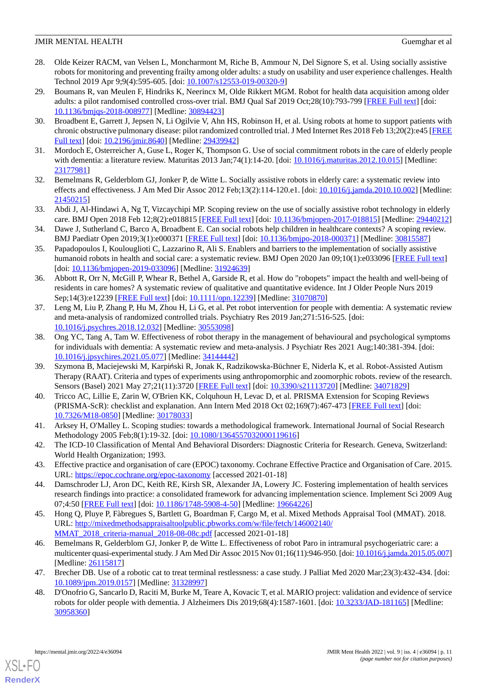- <span id="page-10-0"></span>28. Olde Keizer RACM, van Velsen L, Moncharmont M, Riche B, Ammour N, Del Signore S, et al. Using socially assistive robots for monitoring and preventing frailty among older adults: a study on usability and user experience challenges. Health Technol 2019 Apr 9;9(4):595-605. [doi: [10.1007/s12553-019-00320-9\]](http://dx.doi.org/10.1007/s12553-019-00320-9)
- <span id="page-10-1"></span>29. Boumans R, van Meulen F, Hindriks K, Neerincx M, Olde Rikkert MGM. Robot for health data acquisition among older adults: a pilot randomised controlled cross-over trial. BMJ Qual Saf 2019 Oct;28(10):793-799 [[FREE Full text](http://qualitysafety.bmj.com/lookup/pmidlookup?view=long&pmid=30894423)] [doi: [10.1136/bmjqs-2018-008977\]](http://dx.doi.org/10.1136/bmjqs-2018-008977) [Medline: [30894423\]](http://www.ncbi.nlm.nih.gov/entrez/query.fcgi?cmd=Retrieve&db=PubMed&list_uids=30894423&dopt=Abstract)
- <span id="page-10-3"></span><span id="page-10-2"></span>30. Broadbent E, Garrett J, Jepsen N, Li Ogilvie V, Ahn HS, Robinson H, et al. Using robots at home to support patients with chronic obstructive pulmonary disease: pilot randomized controlled trial. J Med Internet Res 2018 Feb 13;20(2):e45 [\[FREE](https://www.jmir.org/2018/2/e45/) [Full text\]](https://www.jmir.org/2018/2/e45/) [doi: [10.2196/jmir.8640](http://dx.doi.org/10.2196/jmir.8640)] [Medline: [29439942\]](http://www.ncbi.nlm.nih.gov/entrez/query.fcgi?cmd=Retrieve&db=PubMed&list_uids=29439942&dopt=Abstract)
- <span id="page-10-4"></span>31. Mordoch E, Osterreicher A, Guse L, Roger K, Thompson G. Use of social commitment robots in the care of elderly people with dementia: a literature review. Maturitas 2013 Jan;74(1):14-20. [doi: [10.1016/j.maturitas.2012.10.015](http://dx.doi.org/10.1016/j.maturitas.2012.10.015)] [Medline: [23177981](http://www.ncbi.nlm.nih.gov/entrez/query.fcgi?cmd=Retrieve&db=PubMed&list_uids=23177981&dopt=Abstract)]
- <span id="page-10-5"></span>32. Bemelmans R, Gelderblom GJ, Jonker P, de Witte L. Socially assistive robots in elderly care: a systematic review into effects and effectiveness. J Am Med Dir Assoc 2012 Feb;13(2):114-120.e1. [doi: [10.1016/j.jamda.2010.10.002\]](http://dx.doi.org/10.1016/j.jamda.2010.10.002) [Medline: [21450215](http://www.ncbi.nlm.nih.gov/entrez/query.fcgi?cmd=Retrieve&db=PubMed&list_uids=21450215&dopt=Abstract)]
- 33. Abdi J, Al-Hindawi A, Ng T, Vizcaychipi MP. Scoping review on the use of socially assistive robot technology in elderly care. BMJ Open 2018 Feb 12;8(2):e018815 [[FREE Full text](https://bmjopen.bmj.com/lookup/pmidlookup?view=long&pmid=29440212)] [doi: [10.1136/bmjopen-2017-018815](http://dx.doi.org/10.1136/bmjopen-2017-018815)] [Medline: [29440212](http://www.ncbi.nlm.nih.gov/entrez/query.fcgi?cmd=Retrieve&db=PubMed&list_uids=29440212&dopt=Abstract)]
- <span id="page-10-6"></span>34. Dawe J, Sutherland C, Barco A, Broadbent E. Can social robots help children in healthcare contexts? A scoping review. BMJ Paediatr Open 2019;3(1):e000371 [\[FREE Full text\]](https://doi.org/10.1136/bmjpo-2018-000371) [doi: [10.1136/bmjpo-2018-000371](http://dx.doi.org/10.1136/bmjpo-2018-000371)] [Medline: [30815587](http://www.ncbi.nlm.nih.gov/entrez/query.fcgi?cmd=Retrieve&db=PubMed&list_uids=30815587&dopt=Abstract)]
- <span id="page-10-7"></span>35. Papadopoulos I, Koulouglioti C, Lazzarino R, Ali S. Enablers and barriers to the implementation of socially assistive humanoid robots in health and social care: a systematic review. BMJ Open 2020 Jan 09;10(1):e033096 [\[FREE Full text\]](https://bmjopen.bmj.com/lookup/pmidlookup?view=long&pmid=31924639) [doi: [10.1136/bmjopen-2019-033096\]](http://dx.doi.org/10.1136/bmjopen-2019-033096) [Medline: [31924639\]](http://www.ncbi.nlm.nih.gov/entrez/query.fcgi?cmd=Retrieve&db=PubMed&list_uids=31924639&dopt=Abstract)
- 36. Abbott R, Orr N, McGill P, Whear R, Bethel A, Garside R, et al. How do "robopets" impact the health and well-being of residents in care homes? A systematic review of qualitative and quantitative evidence. Int J Older People Nurs 2019 Sep;14(3):e12239 [\[FREE Full text](http://europepmc.org/abstract/MED/31070870)] [doi: [10.1111/opn.12239](http://dx.doi.org/10.1111/opn.12239)] [Medline: [31070870](http://www.ncbi.nlm.nih.gov/entrez/query.fcgi?cmd=Retrieve&db=PubMed&list_uids=31070870&dopt=Abstract)]
- 37. Leng M, Liu P, Zhang P, Hu M, Zhou H, Li G, et al. Pet robot intervention for people with dementia: A systematic review and meta-analysis of randomized controlled trials. Psychiatry Res 2019 Jan;271:516-525. [doi: [10.1016/j.psychres.2018.12.032\]](http://dx.doi.org/10.1016/j.psychres.2018.12.032) [Medline: [30553098](http://www.ncbi.nlm.nih.gov/entrez/query.fcgi?cmd=Retrieve&db=PubMed&list_uids=30553098&dopt=Abstract)]
- <span id="page-10-8"></span>38. Ong YC, Tang A, Tam W. Effectiveness of robot therapy in the management of behavioural and psychological symptoms for individuals with dementia: A systematic review and meta-analysis. J Psychiatr Res 2021 Aug;140:381-394. [doi: [10.1016/j.jpsychires.2021.05.077](http://dx.doi.org/10.1016/j.jpsychires.2021.05.077)] [Medline: [34144442\]](http://www.ncbi.nlm.nih.gov/entrez/query.fcgi?cmd=Retrieve&db=PubMed&list_uids=34144442&dopt=Abstract)
- <span id="page-10-9"></span>39. Szymona B, Maciejewski M, Karpiński R, Jonak K, Radzikowska-Büchner E, Niderla K, et al. Robot-Assisted Autism Therapy (RAAT). Criteria and types of experiments using anthropomorphic and zoomorphic robots. review of the research. Sensors (Basel) 2021 May 27;21(11):3720 [[FREE Full text](https://www.mdpi.com/resolver?pii=s21113720)] [doi: [10.3390/s21113720\]](http://dx.doi.org/10.3390/s21113720) [Medline: [34071829\]](http://www.ncbi.nlm.nih.gov/entrez/query.fcgi?cmd=Retrieve&db=PubMed&list_uids=34071829&dopt=Abstract)
- <span id="page-10-11"></span><span id="page-10-10"></span>40. Tricco AC, Lillie E, Zarin W, O'Brien KK, Colquhoun H, Levac D, et al. PRISMA Extension for Scoping Reviews (PRISMA-ScR): checklist and explanation. Ann Intern Med 2018 Oct 02;169(7):467-473 [[FREE Full text](https://www.acpjournals.org/doi/abs/10.7326/M18-0850?url_ver=Z39.88-2003&rfr_id=ori:rid:crossref.org&rfr_dat=cr_pub%3dpubmed)] [doi: [10.7326/M18-0850](http://dx.doi.org/10.7326/M18-0850)] [Medline: [30178033\]](http://www.ncbi.nlm.nih.gov/entrez/query.fcgi?cmd=Retrieve&db=PubMed&list_uids=30178033&dopt=Abstract)
- <span id="page-10-12"></span>41. Arksey H, O'Malley L. Scoping studies: towards a methodological framework. International Journal of Social Research Methodology 2005 Feb;8(1):19-32. [doi: [10.1080/1364557032000119616\]](http://dx.doi.org/10.1080/1364557032000119616)
- <span id="page-10-13"></span>42. The ICD-10 Classification of Mental And Behavioral Disorders: Diagnostic Criteria for Research. Geneva, Switzerland: World Health Organization; 1993.
- <span id="page-10-14"></span>43. Effective practice and organisation of care (EPOC) taxonomy. Cochrane Effective Practice and Organisation of Care. 2015. URL: <https://epoc.cochrane.org/epoc-taxonomy> [accessed 2021-01-18]
- <span id="page-10-15"></span>44. Damschroder LJ, Aron DC, Keith RE, Kirsh SR, Alexander JA, Lowery JC. Fostering implementation of health services research findings into practice: a consolidated framework for advancing implementation science. Implement Sci 2009 Aug 07;4:50 [[FREE Full text](https://implementationscience.biomedcentral.com/articles/10.1186/1748-5908-4-50)] [doi: [10.1186/1748-5908-4-50\]](http://dx.doi.org/10.1186/1748-5908-4-50) [Medline: [19664226\]](http://www.ncbi.nlm.nih.gov/entrez/query.fcgi?cmd=Retrieve&db=PubMed&list_uids=19664226&dopt=Abstract)
- <span id="page-10-16"></span>45. Hong Q, Pluye P, Fàbregues S, Bartlett G, Boardman F, Cargo M, et al. Mixed Methods Appraisal Tool (MMAT). 2018. URL: [http://mixedmethodsappraisaltoolpublic.pbworks.com/w/file/fetch/146002140/](http://mixedmethodsappraisaltoolpublic.pbworks.com/w/file/fetch/146002140/MMAT_2018_criteria-manual_2018-08-08c.pdf) [MMAT\\_2018\\_criteria-manual\\_2018-08-08c.pdf](http://mixedmethodsappraisaltoolpublic.pbworks.com/w/file/fetch/146002140/MMAT_2018_criteria-manual_2018-08-08c.pdf) [accessed 2021-01-18]
- <span id="page-10-17"></span>46. Bemelmans R, Gelderblom GJ, Jonker P, de Witte L. Effectiveness of robot Paro in intramural psychogeriatric care: a multicenter quasi-experimental study. J Am Med Dir Assoc 2015 Nov 01;16(11):946-950. [doi: [10.1016/j.jamda.2015.05.007](http://dx.doi.org/10.1016/j.jamda.2015.05.007)] [Medline: [26115817](http://www.ncbi.nlm.nih.gov/entrez/query.fcgi?cmd=Retrieve&db=PubMed&list_uids=26115817&dopt=Abstract)]
- 47. Brecher DB. Use of a robotic cat to treat terminal restlessness: a case study. J Palliat Med 2020 Mar;23(3):432-434. [doi: [10.1089/jpm.2019.0157](http://dx.doi.org/10.1089/jpm.2019.0157)] [Medline: [31328997](http://www.ncbi.nlm.nih.gov/entrez/query.fcgi?cmd=Retrieve&db=PubMed&list_uids=31328997&dopt=Abstract)]
- 48. D'Onofrio G, Sancarlo D, Raciti M, Burke M, Teare A, Kovacic T, et al. MARIO project: validation and evidence of service robots for older people with dementia. J Alzheimers Dis 2019;68(4):1587-1601. [doi: [10.3233/JAD-181165\]](http://dx.doi.org/10.3233/JAD-181165) [Medline: [30958360](http://www.ncbi.nlm.nih.gov/entrez/query.fcgi?cmd=Retrieve&db=PubMed&list_uids=30958360&dopt=Abstract)]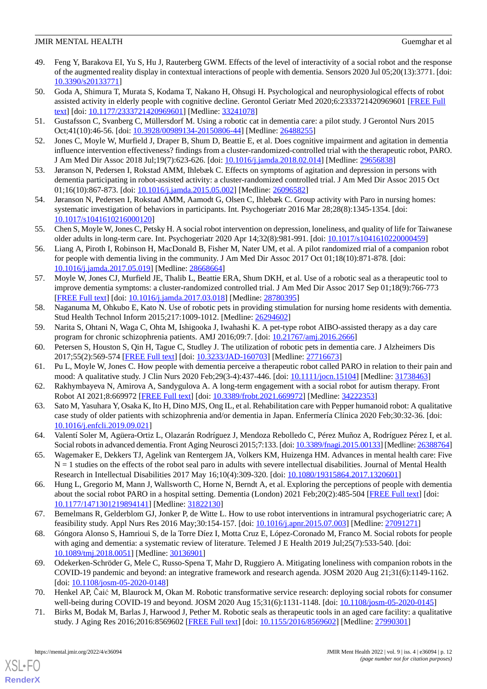- <span id="page-11-5"></span>49. Feng Y, Barakova EI, Yu S, Hu J, Rauterberg GWM. Effects of the level of interactivity of a social robot and the response of the augmented reality display in contextual interactions of people with dementia. Sensors 2020 Jul 05;20(13):3771. [doi: [10.3390/s20133771\]](http://dx.doi.org/10.3390/s20133771)
- <span id="page-11-16"></span>50. Goda A, Shimura T, Murata S, Kodama T, Nakano H, Ohsugi H. Psychological and neurophysiological effects of robot assisted activity in elderly people with cognitive decline. Gerontol Geriatr Med 2020;6:2333721420969601 [[FREE Full](https://journals.sagepub.com/doi/10.1177/2333721420969601?url_ver=Z39.88-2003&rfr_id=ori:rid:crossref.org&rfr_dat=cr_pub%3dpubmed) [text](https://journals.sagepub.com/doi/10.1177/2333721420969601?url_ver=Z39.88-2003&rfr_id=ori:rid:crossref.org&rfr_dat=cr_pub%3dpubmed)] [doi: [10.1177/2333721420969601\]](http://dx.doi.org/10.1177/2333721420969601) [Medline: [33241078\]](http://www.ncbi.nlm.nih.gov/entrez/query.fcgi?cmd=Retrieve&db=PubMed&list_uids=33241078&dopt=Abstract)
- <span id="page-11-12"></span><span id="page-11-6"></span>51. Gustafsson C, Svanberg C, Müllersdorf M. Using a robotic cat in dementia care: a pilot study. J Gerontol Nurs 2015 Oct;41(10):46-56. [doi: [10.3928/00989134-20150806-44\]](http://dx.doi.org/10.3928/00989134-20150806-44) [Medline: [26488255\]](http://www.ncbi.nlm.nih.gov/entrez/query.fcgi?cmd=Retrieve&db=PubMed&list_uids=26488255&dopt=Abstract)
- <span id="page-11-15"></span>52. Jones C, Moyle W, Murfield J, Draper B, Shum D, Beattie E, et al. Does cognitive impairment and agitation in dementia influence intervention effectiveness? findings from a cluster-randomized-controlled trial with the therapeutic robot, PARO. J Am Med Dir Assoc 2018 Jul;19(7):623-626. [doi: [10.1016/j.jamda.2018.02.014\]](http://dx.doi.org/10.1016/j.jamda.2018.02.014) [Medline: [29656838](http://www.ncbi.nlm.nih.gov/entrez/query.fcgi?cmd=Retrieve&db=PubMed&list_uids=29656838&dopt=Abstract)]
- <span id="page-11-9"></span>53. Jøranson N, Pedersen I, Rokstad AMM, Ihlebæk C. Effects on symptoms of agitation and depression in persons with dementia participating in robot-assisted activity: a cluster-randomized controlled trial. J Am Med Dir Assoc 2015 Oct 01;16(10):867-873. [doi: [10.1016/j.jamda.2015.05.002\]](http://dx.doi.org/10.1016/j.jamda.2015.05.002) [Medline: [26096582\]](http://www.ncbi.nlm.nih.gov/entrez/query.fcgi?cmd=Retrieve&db=PubMed&list_uids=26096582&dopt=Abstract)
- <span id="page-11-7"></span>54. Jøranson N, Pedersen I, Rokstad AMM, Aamodt G, Olsen C, Ihlebæk C. Group activity with Paro in nursing homes: systematic investigation of behaviors in participants. Int. Psychogeriatr 2016 Mar 28;28(8):1345-1354. [doi: [10.1017/s1041610216000120\]](http://dx.doi.org/10.1017/s1041610216000120)
- <span id="page-11-1"></span>55. Chen S, Moyle W, Jones C, Petsky H. A social robot intervention on depression, loneliness, and quality of life for Taiwanese older adults in long-term care. Int. Psychogeriatr 2020 Apr 14;32(8):981-991. [doi: [10.1017/s1041610220000459](http://dx.doi.org/10.1017/s1041610220000459)]
- <span id="page-11-10"></span>56. Liang A, Piroth I, Robinson H, MacDonald B, Fisher M, Nater UM, et al. A pilot randomized rrial of a companion robot for people with dementia living in the community. J Am Med Dir Assoc 2017 Oct 01;18(10):871-878. [doi: [10.1016/j.jamda.2017.05.019](http://dx.doi.org/10.1016/j.jamda.2017.05.019)] [Medline: [28668664\]](http://www.ncbi.nlm.nih.gov/entrez/query.fcgi?cmd=Retrieve&db=PubMed&list_uids=28668664&dopt=Abstract)
- <span id="page-11-17"></span>57. Moyle W, Jones CJ, Murfield JE, Thalib L, Beattie ERA, Shum DKH, et al. Use of a robotic seal as a therapeutic tool to improve dementia symptoms: a cluster-randomized controlled trial. J Am Med Dir Assoc 2017 Sep 01;18(9):766-773 [[FREE Full text](https://linkinghub.elsevier.com/retrieve/pii/S1525-8610(17)30189-5)] [doi: [10.1016/j.jamda.2017.03.018\]](http://dx.doi.org/10.1016/j.jamda.2017.03.018) [Medline: [28780395\]](http://www.ncbi.nlm.nih.gov/entrez/query.fcgi?cmd=Retrieve&db=PubMed&list_uids=28780395&dopt=Abstract)
- <span id="page-11-11"></span><span id="page-11-2"></span>58. Naganuma M, Ohkubo E, Kato N. Use of robotic pets in providing stimulation for nursing home residents with dementia. Stud Health Technol Inform 2015;217:1009-1012. [Medline: [26294602](http://www.ncbi.nlm.nih.gov/entrez/query.fcgi?cmd=Retrieve&db=PubMed&list_uids=26294602&dopt=Abstract)]
- <span id="page-11-13"></span>59. Narita S, Ohtani N, Waga C, Ohta M, Ishigooka J, Iwahashi K. A pet-type robot AIBO-assisted therapy as a day care program for chronic schizophrenia patients. AMJ 2016;09:7. [doi: [10.21767/amj.2016.2666](http://dx.doi.org/10.21767/amj.2016.2666)]
- <span id="page-11-3"></span>60. Petersen S, Houston S, Qin H, Tague C, Studley J. The utilization of robotic pets in dementia care. J Alzheimers Dis 2017;55(2):569-574 [[FREE Full text](http://europepmc.org/abstract/MED/27716673)] [doi: [10.3233/JAD-160703\]](http://dx.doi.org/10.3233/JAD-160703) [Medline: [27716673\]](http://www.ncbi.nlm.nih.gov/entrez/query.fcgi?cmd=Retrieve&db=PubMed&list_uids=27716673&dopt=Abstract)
- <span id="page-11-4"></span>61. Pu L, Moyle W, Jones C. How people with dementia perceive a therapeutic robot called PARO in relation to their pain and mood: A qualitative study. J Clin Nurs 2020 Feb; 29(3-4): 437-446. [doi: [10.1111/jocn.15104\]](http://dx.doi.org/10.1111/jocn.15104) [Medline: [31738463](http://www.ncbi.nlm.nih.gov/entrez/query.fcgi?cmd=Retrieve&db=PubMed&list_uids=31738463&dopt=Abstract)]
- <span id="page-11-8"></span>62. Rakhymbayeva N, Amirova A, Sandygulova A. A long-term engagement with a social robot for autism therapy. Front Robot AI 2021;8:669972 [[FREE Full text](https://doi.org/10.3389/frobt.2021.669972)] [doi: [10.3389/frobt.2021.669972](http://dx.doi.org/10.3389/frobt.2021.669972)] [Medline: [34222353](http://www.ncbi.nlm.nih.gov/entrez/query.fcgi?cmd=Retrieve&db=PubMed&list_uids=34222353&dopt=Abstract)]
- <span id="page-11-14"></span>63. Sato M, Yasuhara Y, Osaka K, Ito H, Dino MJS, Ong IL, et al. Rehabilitation care with Pepper humanoid robot: A qualitative case study of older patients with schizophrenia and/or dementia in Japan. Enfermería Clínica 2020 Feb;30:32-36. [doi: [10.1016/j.enfcli.2019.09.021](http://dx.doi.org/10.1016/j.enfcli.2019.09.021)]
- <span id="page-11-0"></span>64. Valentí Soler M, Agüera-Ortiz L, Olazarán Rodríguez J, Mendoza Rebolledo C, Pérez Muñoz A, Rodríguez Pérez I, et al. Social robots in advanced dementia. Front Aging Neurosci 2015;7:133. [doi: [10.3389/fnagi.2015.00133](http://dx.doi.org/10.3389/fnagi.2015.00133)] [Medline: [26388764\]](http://www.ncbi.nlm.nih.gov/entrez/query.fcgi?cmd=Retrieve&db=PubMed&list_uids=26388764&dopt=Abstract)
- <span id="page-11-18"></span>65. Wagemaker E, Dekkers TJ, Agelink van Rentergem JA, Volkers KM, Huizenga HM. Advances in mental health care: Five  $N = 1$  studies on the effects of the robot seal paro in adults with severe intellectual disabilities. Journal of Mental Health Research in Intellectual Disabilities 2017 May 16;10(4):309-320. [doi: [10.1080/19315864.2017.1320601](http://dx.doi.org/10.1080/19315864.2017.1320601)]
- <span id="page-11-19"></span>66. Hung L, Gregorio M, Mann J, Wallsworth C, Horne N, Berndt A, et al. Exploring the perceptions of people with dementia about the social robot PARO in a hospital setting. Dementia (London) 2021 Feb; 20(2): 485-504 [[FREE Full text](https://journals.sagepub.com/doi/10.1177/1471301219894141?url_ver=Z39.88-2003&rfr_id=ori:rid:crossref.org&rfr_dat=cr_pub%3dpubmed)] [doi: [10.1177/1471301219894141\]](http://dx.doi.org/10.1177/1471301219894141) [Medline: [31822130\]](http://www.ncbi.nlm.nih.gov/entrez/query.fcgi?cmd=Retrieve&db=PubMed&list_uids=31822130&dopt=Abstract)
- <span id="page-11-20"></span>67. Bemelmans R, Gelderblom GJ, Jonker P, de Witte L. How to use robot interventions in intramural psychogeriatric care; A feasibility study. Appl Nurs Res 2016 May;30:154-157. [doi: [10.1016/j.apnr.2015.07.003](http://dx.doi.org/10.1016/j.apnr.2015.07.003)] [Medline: [27091271](http://www.ncbi.nlm.nih.gov/entrez/query.fcgi?cmd=Retrieve&db=PubMed&list_uids=27091271&dopt=Abstract)]
- <span id="page-11-21"></span>68. Góngora Alonso S, Hamrioui S, de la Torre Díez I, Motta Cruz E, López-Coronado M, Franco M. Social robots for people with aging and dementia: a systematic review of literature. Telemed J E Health 2019 Jul;25(7):533-540. [doi: [10.1089/tmj.2018.0051](http://dx.doi.org/10.1089/tmj.2018.0051)] [Medline: [30136901\]](http://www.ncbi.nlm.nih.gov/entrez/query.fcgi?cmd=Retrieve&db=PubMed&list_uids=30136901&dopt=Abstract)
- <span id="page-11-22"></span>69. Odekerken-Schröder G, Mele C, Russo-Spena T, Mahr D, Ruggiero A. Mitigating loneliness with companion robots in the COVID-19 pandemic and beyond: an integrative framework and research agenda. JOSM 2020 Aug 21;31(6):1149-1162. [doi: [10.1108/josm-05-2020-0148\]](http://dx.doi.org/10.1108/josm-05-2020-0148)
- 70. Henkel AP, Čaić M, Blaurock M, Okan M. Robotic transformative service research: deploying social robots for consumer well-being during COVID-19 and beyond. JOSM 2020 Aug 15;31(6):1131-1148. [doi: [10.1108/josm-05-2020-0145\]](http://dx.doi.org/10.1108/josm-05-2020-0145)
- 71. Birks M, Bodak M, Barlas J, Harwood J, Pether M. Robotic seals as therapeutic tools in an aged care facility: a qualitative study. J Aging Res 2016;2016:8569602 [\[FREE Full text\]](https://doi.org/10.1155/2016/8569602) [doi: [10.1155/2016/8569602](http://dx.doi.org/10.1155/2016/8569602)] [Medline: [27990301\]](http://www.ncbi.nlm.nih.gov/entrez/query.fcgi?cmd=Retrieve&db=PubMed&list_uids=27990301&dopt=Abstract)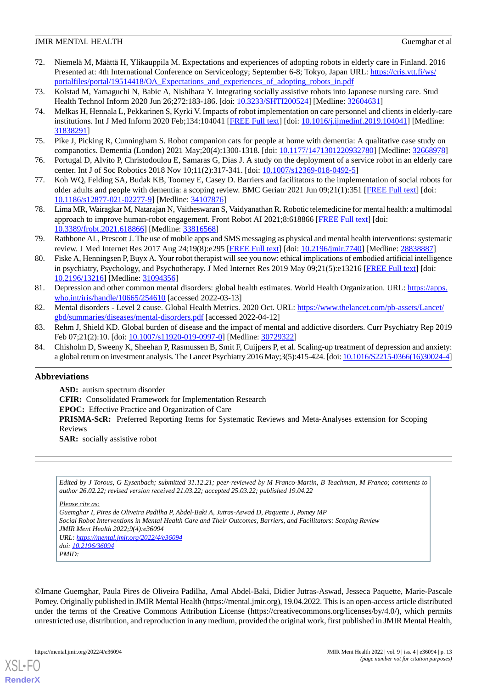- <span id="page-12-0"></span>72. Niemelä M, Määttä H, Ylikauppila M. Expectations and experiences of adopting robots in elderly care in Finland. 2016 Presented at: 4th International Conference on Serviceology; September 6-8; Tokyo, Japan URL: [https://cris.vtt.fi/ws/](https://cris.vtt.fi/ws/portalfiles/portal/19514418/OA_Expectations_and_experiences_of_adopting_robots_in.pdf) [portalfiles/portal/19514418/OA\\_Expectations\\_and\\_experiences\\_of\\_adopting\\_robots\\_in.pdf](https://cris.vtt.fi/ws/portalfiles/portal/19514418/OA_Expectations_and_experiences_of_adopting_robots_in.pdf)
- <span id="page-12-1"></span>73. Kolstad M, Yamaguchi N, Babic A, Nishihara Y. Integrating socially assistive robots into Japanese nursing care. Stud Health Technol Inform 2020 Jun 26;272:183-186. [doi: [10.3233/SHTI200524](http://dx.doi.org/10.3233/SHTI200524)] [Medline: [32604631\]](http://www.ncbi.nlm.nih.gov/entrez/query.fcgi?cmd=Retrieve&db=PubMed&list_uids=32604631&dopt=Abstract)
- 74. Melkas H, Hennala L, Pekkarinen S, Kyrki V. Impacts of robot implementation on care personnel and clients in elderly-care institutions. Int J Med Inform 2020 Feb;134:104041 [[FREE Full text](https://linkinghub.elsevier.com/retrieve/pii/S1386-5056(19)30049-8)] [doi: [10.1016/j.ijmedinf.2019.104041](http://dx.doi.org/10.1016/j.ijmedinf.2019.104041)] [Medline: [31838291](http://www.ncbi.nlm.nih.gov/entrez/query.fcgi?cmd=Retrieve&db=PubMed&list_uids=31838291&dopt=Abstract)]
- <span id="page-12-2"></span>75. Pike J, Picking R, Cunningham S. Robot companion cats for people at home with dementia: A qualitative case study on companotics. Dementia (London) 2021 May;20(4):1300-1318. [doi: [10.1177/1471301220932780\]](http://dx.doi.org/10.1177/1471301220932780) [Medline: [32668978](http://www.ncbi.nlm.nih.gov/entrez/query.fcgi?cmd=Retrieve&db=PubMed&list_uids=32668978&dopt=Abstract)]
- <span id="page-12-3"></span>76. Portugal D, Alvito P, Christodoulou E, Samaras G, Dias J. A study on the deployment of a service robot in an elderly care center. Int J of Soc Robotics 2018 Nov 10;11(2):317-341. [doi: [10.1007/s12369-018-0492-5\]](http://dx.doi.org/10.1007/s12369-018-0492-5)
- <span id="page-12-4"></span>77. Koh WQ, Felding SA, Budak KB, Toomey E, Casey D. Barriers and facilitators to the implementation of social robots for older adults and people with dementia: a scoping review. BMC Geriatr 2021 Jun 09;21(1):351 [\[FREE Full text\]](https://bmcgeriatr.biomedcentral.com/articles/10.1186/s12877-021-02277-9) [doi: [10.1186/s12877-021-02277-9\]](http://dx.doi.org/10.1186/s12877-021-02277-9) [Medline: [34107876\]](http://www.ncbi.nlm.nih.gov/entrez/query.fcgi?cmd=Retrieve&db=PubMed&list_uids=34107876&dopt=Abstract)
- <span id="page-12-5"></span>78. Lima MR, Wairagkar M, Natarajan N, Vaitheswaran S, Vaidyanathan R. Robotic telemedicine for mental health: a multimodal approach to improve human-robot engagement. Front Robot AI 2021;8:618866 [[FREE Full text\]](https://doi.org/10.3389/frobt.2021.618866) [doi: [10.3389/frobt.2021.618866](http://dx.doi.org/10.3389/frobt.2021.618866)] [Medline: [33816568](http://www.ncbi.nlm.nih.gov/entrez/query.fcgi?cmd=Retrieve&db=PubMed&list_uids=33816568&dopt=Abstract)]
- <span id="page-12-6"></span>79. Rathbone AL, Prescott J. The use of mobile apps and SMS messaging as physical and mental health interventions: systematic review. J Med Internet Res 2017 Aug 24;19(8):e295 [[FREE Full text](https://www.jmir.org/2017/8/e295/)] [doi: [10.2196/jmir.7740](http://dx.doi.org/10.2196/jmir.7740)] [Medline: [28838887\]](http://www.ncbi.nlm.nih.gov/entrez/query.fcgi?cmd=Retrieve&db=PubMed&list_uids=28838887&dopt=Abstract)
- <span id="page-12-7"></span>80. Fiske A, Henningsen P, Buyx A. Your robot therapist will see you now: ethical implications of embodied artificial intelligence in psychiatry, Psychology, and Psychotherapy. J Med Internet Res 2019 May 09;21(5):e13216 [\[FREE Full text](https://www.jmir.org/2019/5/e13216/)] [doi: [10.2196/13216\]](http://dx.doi.org/10.2196/13216) [Medline: [31094356\]](http://www.ncbi.nlm.nih.gov/entrez/query.fcgi?cmd=Retrieve&db=PubMed&list_uids=31094356&dopt=Abstract)
- <span id="page-12-8"></span>81. Depression and other common mental disorders: global health estimates. World Health Organization. URL: [https://apps.](https://apps.who.int/iris/handle/10665/254610) [who.int/iris/handle/10665/254610](https://apps.who.int/iris/handle/10665/254610) [accessed 2022-03-13]
- <span id="page-12-9"></span>82. Mental disorders - Level 2 cause. Global Health Metrics. 2020 Oct. URL: [https://www.thelancet.com/pb-assets/Lancet/](https://www.thelancet.com/pb-assets/Lancet/gbd/summaries/diseases/mental-disorders.pdf) [gbd/summaries/diseases/mental-disorders.pdf](https://www.thelancet.com/pb-assets/Lancet/gbd/summaries/diseases/mental-disorders.pdf) [accessed 2022-04-12]
- 83. Rehm J, Shield KD. Global burden of disease and the impact of mental and addictive disorders. Curr Psychiatry Rep 2019 Feb 07;21(2):10. [doi: [10.1007/s11920-019-0997-0\]](http://dx.doi.org/10.1007/s11920-019-0997-0) [Medline: [30729322\]](http://www.ncbi.nlm.nih.gov/entrez/query.fcgi?cmd=Retrieve&db=PubMed&list_uids=30729322&dopt=Abstract)
- 84. Chisholm D, Sweeny K, Sheehan P, Rasmussen B, Smit F, Cuijpers P, et al. Scaling-up treatment of depression and anxiety: a global return on investment analysis. The Lancet Psychiatry 2016 May;3(5):415-424. [doi: [10.1016/S2215-0366\(16\)30024-4](http://dx.doi.org/10.1016/S2215-0366(16)30024-4)]

# **Abbreviations**

**ASD:** autism spectrum disorder **CFIR:** Consolidated Framework for Implementation Research **EPOC:** Effective Practice and Organization of Care **PRISMA-ScR:** Preferred Reporting Items for Systematic Reviews and Meta-Analyses extension for Scoping Reviews **SAR:** socially assistive robot

*Edited by J Torous, G Eysenbach; submitted 31.12.21; peer-reviewed by M Franco-Martin, B Teachman, M Franco; comments to author 26.02.22; revised version received 21.03.22; accepted 25.03.22; published 19.04.22*

*Please cite as:*

*Guemghar I, Pires de Oliveira Padilha P, Abdel-Baki A, Jutras-Aswad D, Paquette J, Pomey MP Social Robot Interventions in Mental Health Care and Their Outcomes, Barriers, and Facilitators: Scoping Review JMIR Ment Health 2022;9(4):e36094 URL: <https://mental.jmir.org/2022/4/e36094> doi: [10.2196/36094](http://dx.doi.org/10.2196/36094) PMID:*

©Imane Guemghar, Paula Pires de Oliveira Padilha, Amal Abdel-Baki, Didier Jutras-Aswad, Jesseca Paquette, Marie-Pascale Pomey. Originally published in JMIR Mental Health (https://mental.jmir.org), 19.04.2022. This is an open-access article distributed under the terms of the Creative Commons Attribution License (https://creativecommons.org/licenses/by/4.0/), which permits unrestricted use, distribution, and reproduction in any medium, provided the original work, first published in JMIR Mental Health,